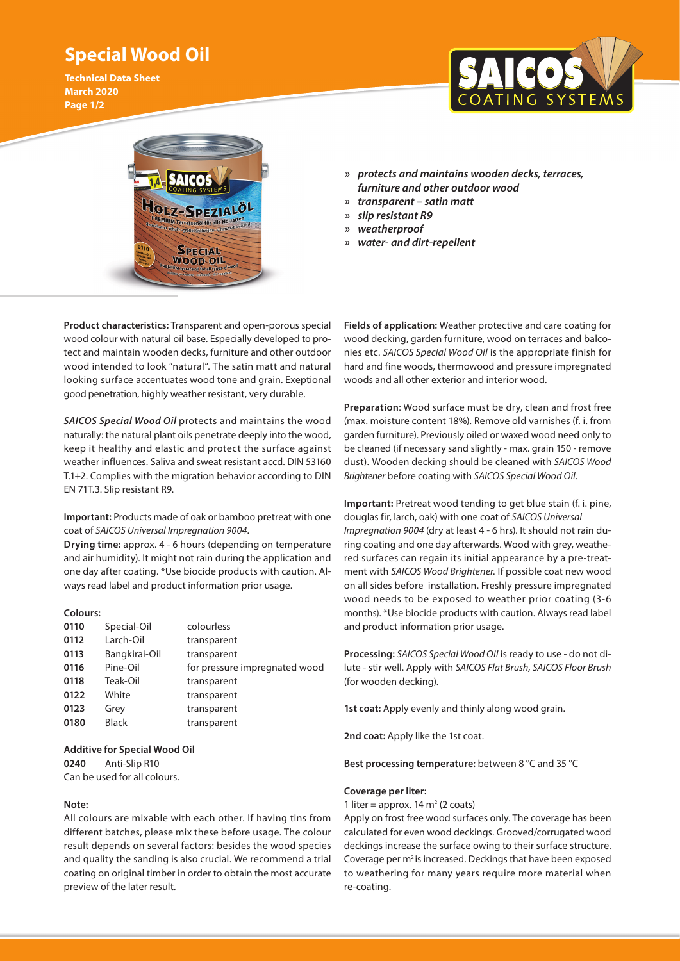## **Special Wood Oil**

**Technical Data Sheet March 2020 Page 1/2**





- *» protects and maintains wooden decks, terraces, furniture and other outdoor wood*
- *» transparent satin matt*
- *» slip resistant R9*
- *» weatherproof*
- *» water- and dirt-repellent*

**Product characteristics:** Transparent and open-porous special wood colour with natural oil base. Especially developed to protect and maintain wooden decks, furniture and other outdoor wood intended to look "natural". The satin matt and natural looking surface accentuates wood tone and grain. Exeptional good penetration, highly weather resistant, very durable.

*SAICOS Special Wood Oil* protects and maintains the wood naturally: the natural plant oils penetrate deeply into the wood, keep it healthy and elastic and protect the surface against weather influences. Saliva and sweat resistant accd. DIN 53160 T.1+2. Complies with the migration behavior according to DIN EN 71T.3. Slip resistant R9.

**Important:** Products made of oak or bamboo pretreat with one coat of *SAICOS Universal Impregnation 9004*.

**Drying time:** approx. 4 - 6 hours (depending on temperature and air humidity). It might not rain during the application and one day after coating. \*Use biocide products with caution. Always read label and product information prior usage.

## **Colours:**

| 0110 | Special-Oil   | colourless                    |
|------|---------------|-------------------------------|
| 0112 | Larch-Oil     | transparent                   |
| 0113 | Bangkirai-Oil | transparent                   |
| 0116 | Pine-Oil      | for pressure impregnated wood |
| 0118 | Teak-Oil      | transparent                   |
| 0122 | White         | transparent                   |
| 0123 | Grey          | transparent                   |
| 0180 | <b>Black</b>  | transparent                   |

**Additive for Special Wood Oil 0240** Anti-Slip R10 Can be used for all colours.

## **Note:**

All colours are mixable with each other. If having tins from different batches, please mix these before usage. The colour result depends on several factors: besides the wood species and quality the sanding is also crucial. We recommend a trial coating on original timber in order to obtain the most accurate preview of the later result.

**Fields of application:** Weather protective and care coating for wood decking, garden furniture, wood on terraces and balconies etc. *SAICOS Special Wood Oil* is the appropriate finish for hard and fine woods, thermowood and pressure impregnated woods and all other exterior and interior wood.

**Preparation**: Wood surface must be dry, clean and frost free (max. moisture content 18%). Remove old varnishes (f. i. from garden furniture). Previously oiled or waxed wood need only to be cleaned (if necessary sand slightly - max. grain 150 - remove dust). Wooden decking should be cleaned with *SAICOS Wood Brightener* before coating with *SAICOS Special Wood Oil*.

**Important:** Pretreat wood tending to get blue stain (f. i. pine, douglas fir, larch, oak) with one coat of *SAICOS Universal Impregnation 9004* (dry at least 4 - 6 hrs). It should not rain during coating and one day afterwards. Wood with grey, weathered surfaces can regain its initial appearance by a pre-treatment with *SAICOS Wood Brightener.* If possible coat new wood on all sides before installation. Freshly pressure impregnated wood needs to be exposed to weather prior coating (3-6 months). \*Use biocide products with caution. Always read label and product information prior usage.

**Processing:** *SAICOS Special Wood Oil* is ready to use - do not dilute - stir well. Apply with *SAICOS Flat Brush, SAICOS Floor Brush* (for wooden decking).

**1st coat:** Apply evenly and thinly along wood grain.

**2nd coat:** Apply like the 1st coat.

**Best processing temperature:** between 8 °C and 35 °C

## **Coverage per liter:**

1 liter = approx. 14  $m<sup>2</sup>$  (2 coats)

Apply on frost free wood surfaces only. The coverage has been calculated for even wood deckings. Grooved/corrugated wood deckings increase the surface owing to their surface structure. Coverage per m<sup>2</sup> is increased. Deckings that have been exposed to weathering for many years require more material when re-coating.